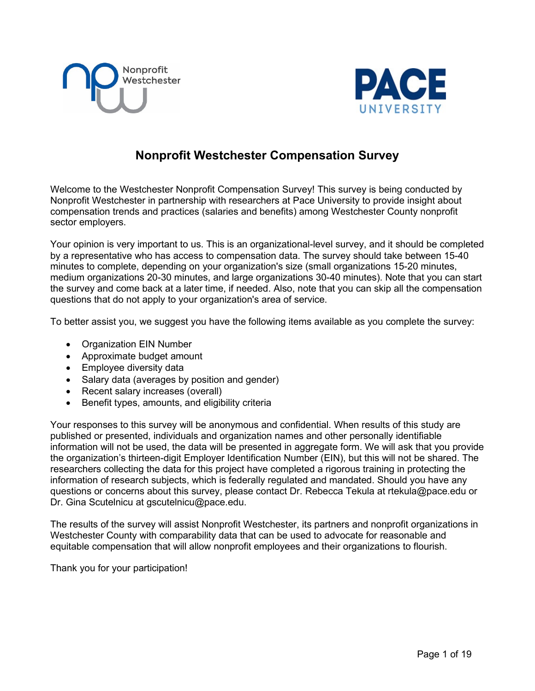



## **Nonprofit Westchester Compensation Survey**

Welcome to the Westchester Nonprofit Compensation Survey! This survey is being conducted by Nonprofit Westchester in partnership with researchers at Pace University to provide insight about compensation trends and practices (salaries and benefits) among Westchester County nonprofit sector employers.

Your opinion is very important to us. This is an organizational-level survey, and it should be completed by a representative who has access to compensation data. The survey should take between 15-40 minutes to complete, depending on your organization's size (small organizations 15-20 minutes, medium organizations 20-30 minutes, and large organizations 30-40 minutes). Note that you can start the survey and come back at a later time, if needed. Also, note that you can skip all the compensation questions that do not apply to your organization's area of service.

To better assist you, we suggest you have the following items available as you complete the survey:

- Organization EIN Number
- Approximate budget amount
- Employee diversity data
- Salary data (averages by position and gender)
- Recent salary increases (overall)
- Benefit types, amounts, and eligibility criteria

Your responses to this survey will be anonymous and confidential. When results of this study are published or presented, individuals and organization names and other personally identifiable information will not be used, the data will be presented in aggregate form. We will ask that you provide the organization's thirteen-digit Employer Identification Number (EIN), but this will not be shared. The researchers collecting the data for this project have completed a rigorous training in protecting the information of research subjects, which is federally regulated and mandated. Should you have any questions or concerns about this survey, please contact Dr. Rebecca Tekula at rtekula@pace.edu or Dr. Gina Scutelnicu at gscutelnicu@pace.edu.

The results of the survey will assist Nonprofit Westchester, its partners and nonprofit organizations in Westchester County with comparability data that can be used to advocate for reasonable and equitable compensation that will allow nonprofit employees and their organizations to flourish.

Thank you for your participation!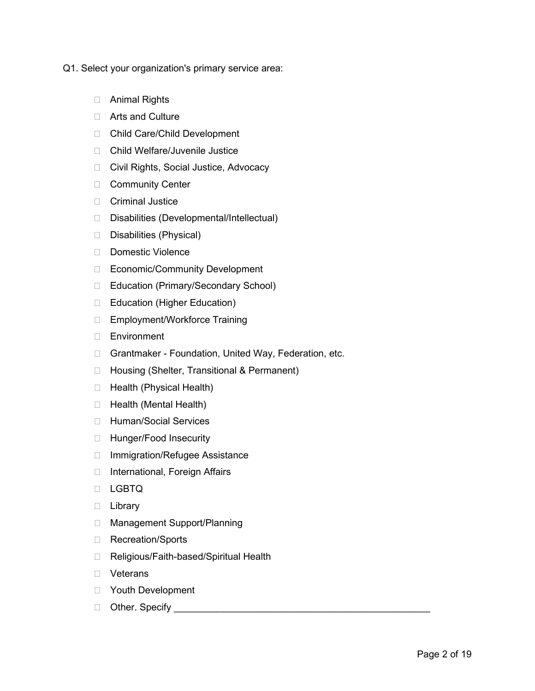- Q1. Select your organization's primary service area:
	- Animal Rights
	- □ Arts and Culture
	- □ Child Care/Child Development
	- □ Child Welfare/Juvenile Justice
	- □ Civil Rights, Social Justice, Advocacy
	- **Community Center**
	- Criminal Justice
	- □ Disabilities (Developmental/Intellectual)
	- Disabilities (Physical)
	- Domestic Violence
	- □ Economic/Community Development
	- □ Education (Primary/Secondary School)
	- □ Education (Higher Education)
	- □ Employment/Workforce Training
	- Environment
	- □ Grantmaker Foundation, United Way, Federation, etc.
	- □ Housing (Shelter, Transitional & Permanent)
	- □ Health (Physical Health)
	- $\Box$  Health (Mental Health)
	- □ Human/Social Services
	- □ Hunger/Food Insecurity
	- □ Immigration/Refugee Assistance
	- □ International, Foreign Affairs
	- D LGBTQ
	- D Library
	- □ Management Support/Planning
	- □ Recreation/Sports
	- □ Religious/Faith-based/Spiritual Health
	- Veterans
	- Youth Development
	- Other. Specify \_\_\_\_\_\_\_\_\_\_\_\_\_\_\_\_\_\_\_\_\_\_\_\_\_\_\_\_\_\_\_\_\_\_\_\_\_\_\_\_\_\_\_\_\_\_\_\_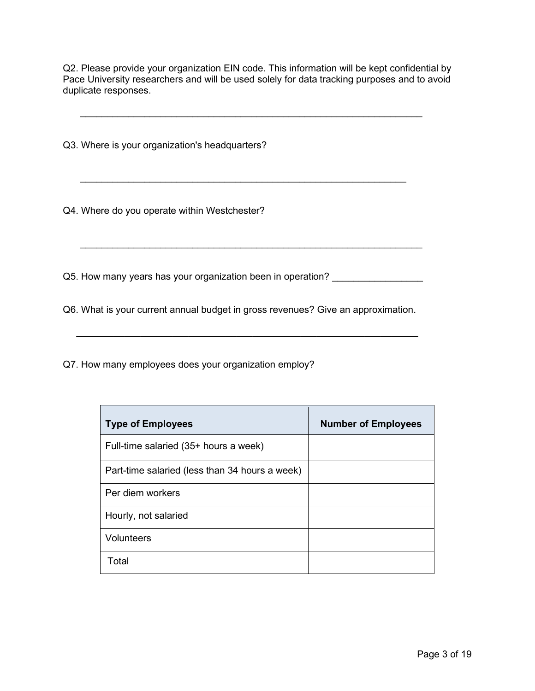Q2. Please provide your organization EIN code. This information will be kept confidential by Pace University researchers and will be used solely for data tracking purposes and to avoid duplicate responses.

 $\_$  , and the set of the set of the set of the set of the set of the set of the set of the set of the set of the set of the set of the set of the set of the set of the set of the set of the set of the set of the set of th

Q3. Where is your organization's headquarters?

Q4. Where do you operate within Westchester?

Q5. How many years has your organization been in operation? \_\_\_\_\_\_\_\_\_\_\_\_\_\_\_\_\_\_\_\_

Q6. What is your current annual budget in gross revenues? Give an approximation.

 $\overline{\phantom{a}}$  ,  $\overline{\phantom{a}}$  ,  $\overline{\phantom{a}}$  ,  $\overline{\phantom{a}}$  ,  $\overline{\phantom{a}}$  ,  $\overline{\phantom{a}}$  ,  $\overline{\phantom{a}}$  ,  $\overline{\phantom{a}}$  ,  $\overline{\phantom{a}}$  ,  $\overline{\phantom{a}}$  ,  $\overline{\phantom{a}}$  ,  $\overline{\phantom{a}}$  ,  $\overline{\phantom{a}}$  ,  $\overline{\phantom{a}}$  ,  $\overline{\phantom{a}}$  ,  $\overline{\phantom{a}}$ 

\_\_\_\_\_\_\_\_\_\_\_\_\_\_\_\_\_\_\_\_\_\_\_\_\_\_\_\_\_\_\_\_\_\_\_\_\_\_\_\_\_\_\_\_\_\_\_\_\_\_\_\_\_\_\_\_\_\_\_\_\_\_\_\_

Q7. How many employees does your organization employ?

| <b>Type of Employees</b>                       | <b>Number of Employees</b> |
|------------------------------------------------|----------------------------|
| Full-time salaried (35+ hours a week)          |                            |
| Part-time salaried (less than 34 hours a week) |                            |
| Per diem workers                               |                            |
| Hourly, not salaried                           |                            |
| <b>Volunteers</b>                              |                            |
| Total                                          |                            |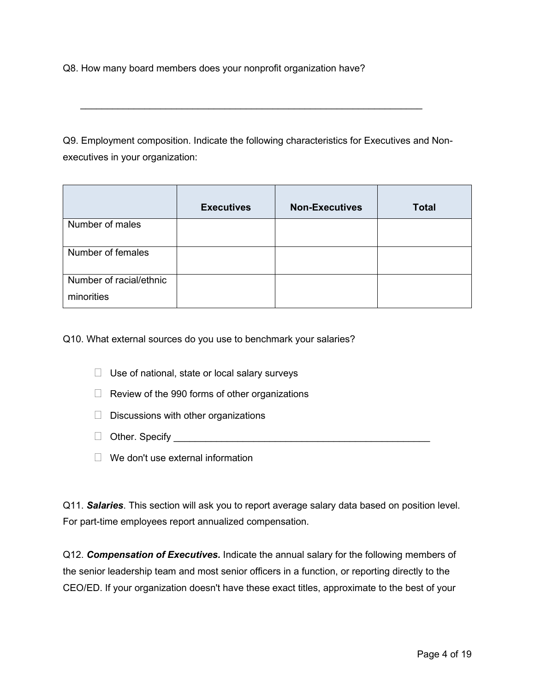Q8. How many board members does your nonprofit organization have?

Q9. Employment composition. Indicate the following characteristics for Executives and Nonexecutives in your organization:

 $\_$  , and the set of the set of the set of the set of the set of the set of the set of the set of the set of the set of the set of the set of the set of the set of the set of the set of the set of the set of the set of th

|                                       | <b>Executives</b> | <b>Non-Executives</b> | <b>Total</b> |
|---------------------------------------|-------------------|-----------------------|--------------|
| Number of males                       |                   |                       |              |
| Number of females                     |                   |                       |              |
| Number of racial/ethnic<br>minorities |                   |                       |              |

Q10. What external sources do you use to benchmark your salaries?

- $\Box$  Use of national, state or local salary surveys
- $\Box$  Review of the 990 forms of other organizations
- $\Box$  Discussions with other organizations
- □ Other. Specify **and the set of the set of the set of the set of the set of the set of the set of the set of the set of the set of the set of the set of the set of the set of the set of the set of the set of the set of t**
- $\Box$  We don't use external information

Q11. *Salaries*. This section will ask you to report average salary data based on position level. For part-time employees report annualized compensation.

Q12. *Compensation of Executives.* Indicate the annual salary for the following members of the senior leadership team and most senior officers in a function, or reporting directly to the CEO/ED. If your organization doesn't have these exact titles, approximate to the best of your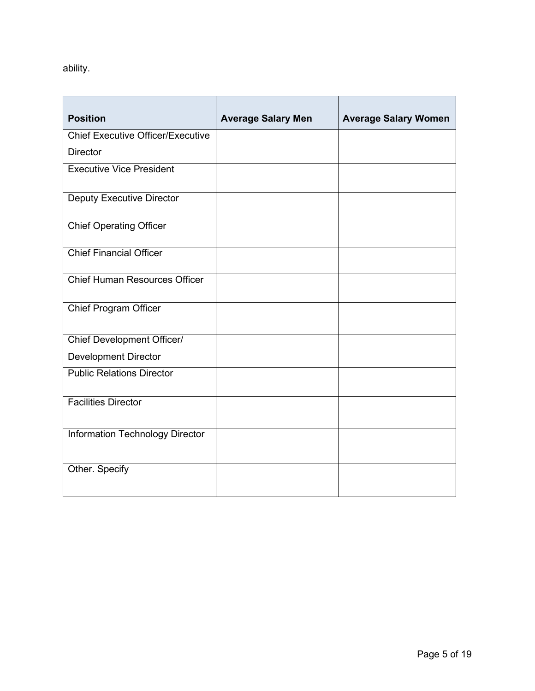ability.

| <b>Position</b>                          | <b>Average Salary Men</b> | <b>Average Salary Women</b> |
|------------------------------------------|---------------------------|-----------------------------|
|                                          |                           |                             |
| <b>Chief Executive Officer/Executive</b> |                           |                             |
| <b>Director</b>                          |                           |                             |
| <b>Executive Vice President</b>          |                           |                             |
| <b>Deputy Executive Director</b>         |                           |                             |
| <b>Chief Operating Officer</b>           |                           |                             |
| <b>Chief Financial Officer</b>           |                           |                             |
| <b>Chief Human Resources Officer</b>     |                           |                             |
| <b>Chief Program Officer</b>             |                           |                             |
| Chief Development Officer/               |                           |                             |
| <b>Development Director</b>              |                           |                             |
| <b>Public Relations Director</b>         |                           |                             |
| <b>Facilities Director</b>               |                           |                             |
| Information Technology Director          |                           |                             |
| Other. Specify                           |                           |                             |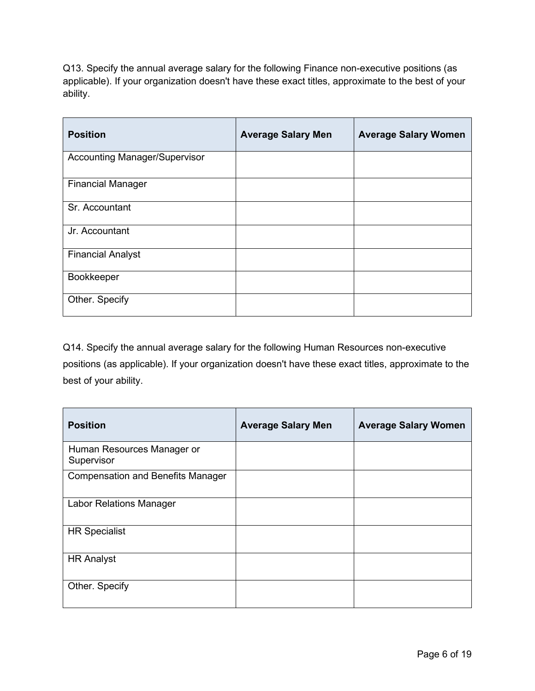Q13. Specify the annual average salary for the following Finance non-executive positions (as applicable). If your organization doesn't have these exact titles, approximate to the best of your ability.

| <b>Position</b>                      | <b>Average Salary Men</b> | <b>Average Salary Women</b> |
|--------------------------------------|---------------------------|-----------------------------|
| <b>Accounting Manager/Supervisor</b> |                           |                             |
| <b>Financial Manager</b>             |                           |                             |
| Sr. Accountant                       |                           |                             |
| Jr. Accountant                       |                           |                             |
| <b>Financial Analyst</b>             |                           |                             |
| Bookkeeper                           |                           |                             |
| Other. Specify                       |                           |                             |

Q14. Specify the annual average salary for the following Human Resources non-executive positions (as applicable). If your organization doesn't have these exact titles, approximate to the best of your ability.

| <b>Position</b>                          | <b>Average Salary Men</b> | <b>Average Salary Women</b> |
|------------------------------------------|---------------------------|-----------------------------|
| Human Resources Manager or<br>Supervisor |                           |                             |
| <b>Compensation and Benefits Manager</b> |                           |                             |
| <b>Labor Relations Manager</b>           |                           |                             |
| <b>HR Specialist</b>                     |                           |                             |
| <b>HR Analyst</b>                        |                           |                             |
| Other. Specify                           |                           |                             |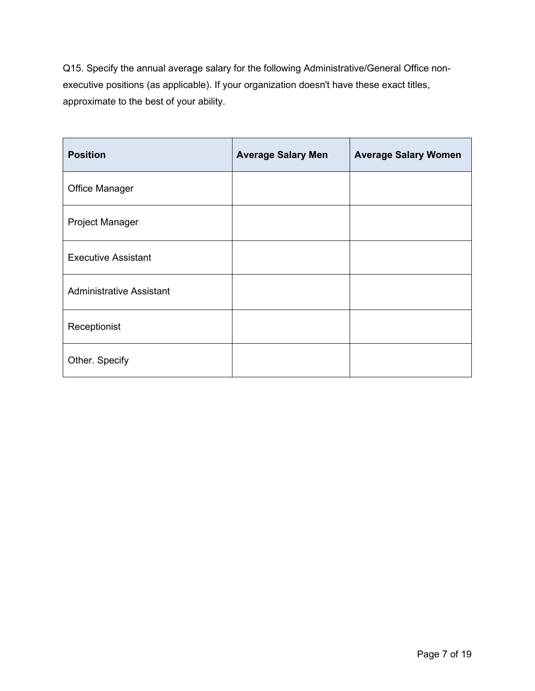Q15. Specify the annual average salary for the following Administrative/General Office nonexecutive positions (as applicable). If your organization doesn't have these exact titles, approximate to the best of your ability.

| <b>Position</b>                 | <b>Average Salary Men</b> | <b>Average Salary Women</b> |
|---------------------------------|---------------------------|-----------------------------|
| <b>Office Manager</b>           |                           |                             |
| Project Manager                 |                           |                             |
| <b>Executive Assistant</b>      |                           |                             |
| <b>Administrative Assistant</b> |                           |                             |
| Receptionist                    |                           |                             |
| Other. Specify                  |                           |                             |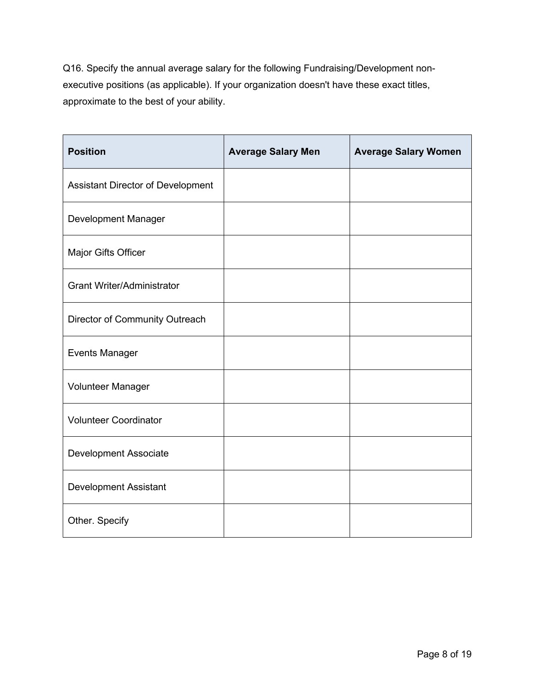Q16. Specify the annual average salary for the following Fundraising/Development nonexecutive positions (as applicable). If your organization doesn't have these exact titles, approximate to the best of your ability.

| <b>Position</b>                   | <b>Average Salary Men</b> | <b>Average Salary Women</b> |
|-----------------------------------|---------------------------|-----------------------------|
| Assistant Director of Development |                           |                             |
| Development Manager               |                           |                             |
| Major Gifts Officer               |                           |                             |
| <b>Grant Writer/Administrator</b> |                           |                             |
| Director of Community Outreach    |                           |                             |
| <b>Events Manager</b>             |                           |                             |
| Volunteer Manager                 |                           |                             |
| <b>Volunteer Coordinator</b>      |                           |                             |
| <b>Development Associate</b>      |                           |                             |
| <b>Development Assistant</b>      |                           |                             |
| Other. Specify                    |                           |                             |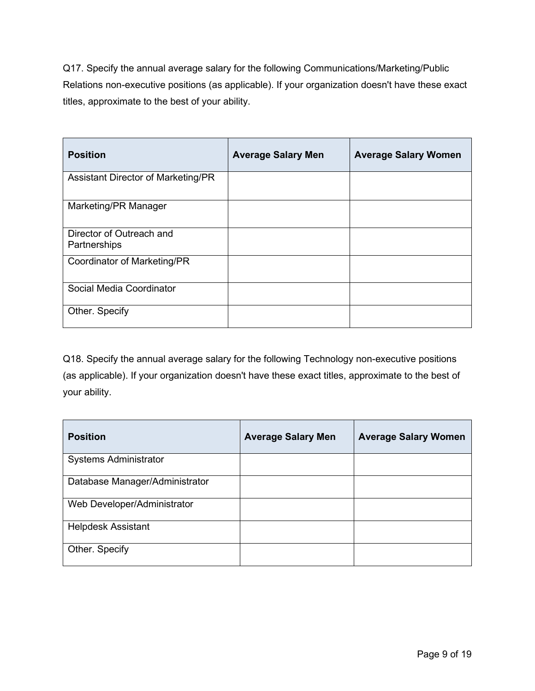Q17. Specify the annual average salary for the following Communications/Marketing/Public Relations non-executive positions (as applicable). If your organization doesn't have these exact titles, approximate to the best of your ability.

| <b>Position</b>                          | <b>Average Salary Men</b> | <b>Average Salary Women</b> |
|------------------------------------------|---------------------------|-----------------------------|
| Assistant Director of Marketing/PR       |                           |                             |
| Marketing/PR Manager                     |                           |                             |
| Director of Outreach and<br>Partnerships |                           |                             |
| Coordinator of Marketing/PR              |                           |                             |
| Social Media Coordinator                 |                           |                             |
| Other. Specify                           |                           |                             |

Q18. Specify the annual average salary for the following Technology non-executive positions (as applicable). If your organization doesn't have these exact titles, approximate to the best of your ability.

| <b>Position</b>                | <b>Average Salary Men</b> | <b>Average Salary Women</b> |
|--------------------------------|---------------------------|-----------------------------|
| <b>Systems Administrator</b>   |                           |                             |
| Database Manager/Administrator |                           |                             |
| Web Developer/Administrator    |                           |                             |
| <b>Helpdesk Assistant</b>      |                           |                             |
| Other. Specify                 |                           |                             |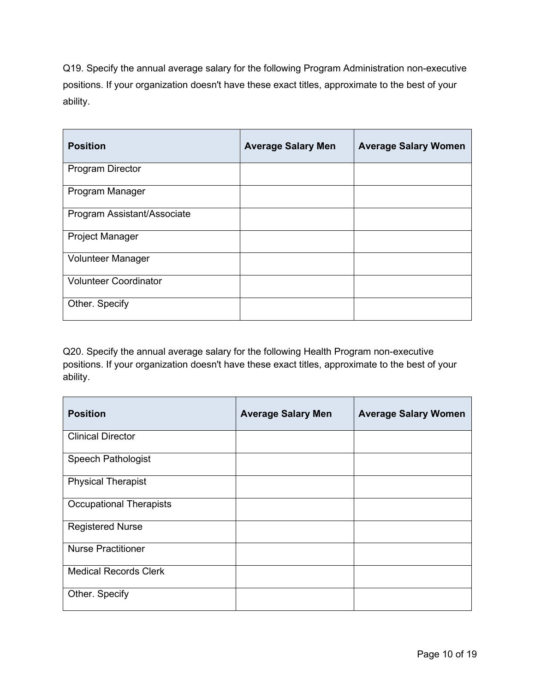Q19. Specify the annual average salary for the following Program Administration non-executive positions. If your organization doesn't have these exact titles, approximate to the best of your ability.

| <b>Position</b>              | <b>Average Salary Men</b> | <b>Average Salary Women</b> |
|------------------------------|---------------------------|-----------------------------|
| <b>Program Director</b>      |                           |                             |
| Program Manager              |                           |                             |
| Program Assistant/Associate  |                           |                             |
| <b>Project Manager</b>       |                           |                             |
| <b>Volunteer Manager</b>     |                           |                             |
| <b>Volunteer Coordinator</b> |                           |                             |
| Other. Specify               |                           |                             |

Q20. Specify the annual average salary for the following Health Program non-executive positions. If your organization doesn't have these exact titles, approximate to the best of your ability.

| <b>Position</b>                | <b>Average Salary Men</b> | <b>Average Salary Women</b> |
|--------------------------------|---------------------------|-----------------------------|
| <b>Clinical Director</b>       |                           |                             |
| <b>Speech Pathologist</b>      |                           |                             |
| <b>Physical Therapist</b>      |                           |                             |
| <b>Occupational Therapists</b> |                           |                             |
| <b>Registered Nurse</b>        |                           |                             |
| <b>Nurse Practitioner</b>      |                           |                             |
| <b>Medical Records Clerk</b>   |                           |                             |
| Other. Specify                 |                           |                             |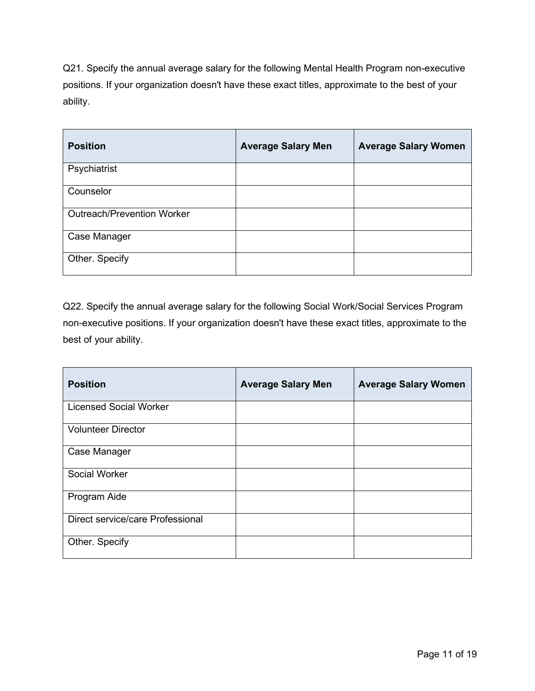Q21. Specify the annual average salary for the following Mental Health Program non-executive positions. If your organization doesn't have these exact titles, approximate to the best of your ability.

| <b>Position</b>                   | <b>Average Salary Men</b> | <b>Average Salary Women</b> |
|-----------------------------------|---------------------------|-----------------------------|
| Psychiatrist                      |                           |                             |
| Counselor                         |                           |                             |
| <b>Outreach/Prevention Worker</b> |                           |                             |
| Case Manager                      |                           |                             |
| Other. Specify                    |                           |                             |

Q22. Specify the annual average salary for the following Social Work/Social Services Program non-executive positions. If your organization doesn't have these exact titles, approximate to the best of your ability.

| <b>Position</b>                  | <b>Average Salary Men</b> | <b>Average Salary Women</b> |
|----------------------------------|---------------------------|-----------------------------|
| <b>Licensed Social Worker</b>    |                           |                             |
| <b>Volunteer Director</b>        |                           |                             |
| Case Manager                     |                           |                             |
| Social Worker                    |                           |                             |
| Program Aide                     |                           |                             |
| Direct service/care Professional |                           |                             |
| Other. Specify                   |                           |                             |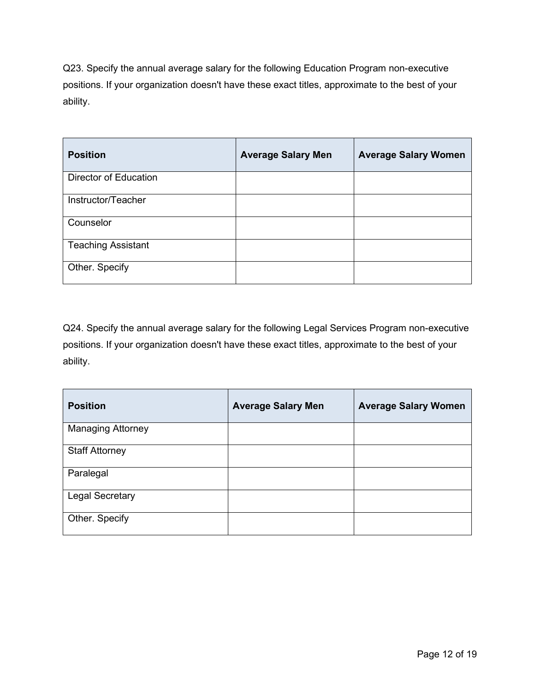Q23. Specify the annual average salary for the following Education Program non-executive positions. If your organization doesn't have these exact titles, approximate to the best of your ability.

| <b>Position</b>              | <b>Average Salary Men</b> | <b>Average Salary Women</b> |
|------------------------------|---------------------------|-----------------------------|
| <b>Director of Education</b> |                           |                             |
| Instructor/Teacher           |                           |                             |
| Counselor                    |                           |                             |
| <b>Teaching Assistant</b>    |                           |                             |
| Other. Specify               |                           |                             |

Q24. Specify the annual average salary for the following Legal Services Program non-executive positions. If your organization doesn't have these exact titles, approximate to the best of your ability.

| <b>Position</b>          | <b>Average Salary Men</b> | <b>Average Salary Women</b> |
|--------------------------|---------------------------|-----------------------------|
| <b>Managing Attorney</b> |                           |                             |
| <b>Staff Attorney</b>    |                           |                             |
| Paralegal                |                           |                             |
| <b>Legal Secretary</b>   |                           |                             |
| Other. Specify           |                           |                             |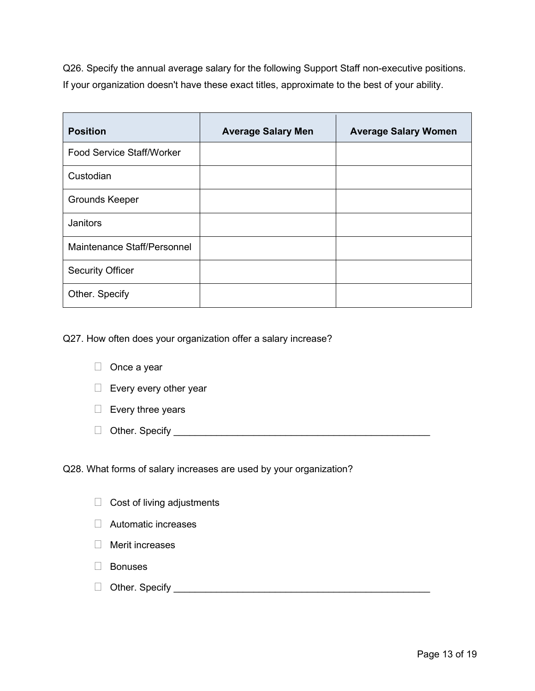Q26. Specify the annual average salary for the following Support Staff non-executive positions. If your organization doesn't have these exact titles, approximate to the best of your ability.

| <b>Position</b>             | <b>Average Salary Men</b> | <b>Average Salary Women</b> |
|-----------------------------|---------------------------|-----------------------------|
| Food Service Staff/Worker   |                           |                             |
| Custodian                   |                           |                             |
| <b>Grounds Keeper</b>       |                           |                             |
| <b>Janitors</b>             |                           |                             |
| Maintenance Staff/Personnel |                           |                             |
| <b>Security Officer</b>     |                           |                             |
| Other. Specify              |                           |                             |

Q27. How often does your organization offer a salary increase?

- $\Box$  Once a year
- $\Box$  Every every other year
- $\Box$  Every three years
- Other. Specify \_\_\_\_\_\_\_\_\_\_\_\_\_\_\_\_\_\_\_\_\_\_\_\_\_\_\_\_\_\_\_\_\_\_\_\_\_\_\_\_\_\_\_\_\_\_\_\_

Q28. What forms of salary increases are used by your organization?

- $\Box$  Cost of living adjustments
- □ Automatic increases
- $\Box$  Merit increases
- □ Bonuses
- Other. Specify \_\_\_\_\_\_\_\_\_\_\_\_\_\_\_\_\_\_\_\_\_\_\_\_\_\_\_\_\_\_\_\_\_\_\_\_\_\_\_\_\_\_\_\_\_\_\_\_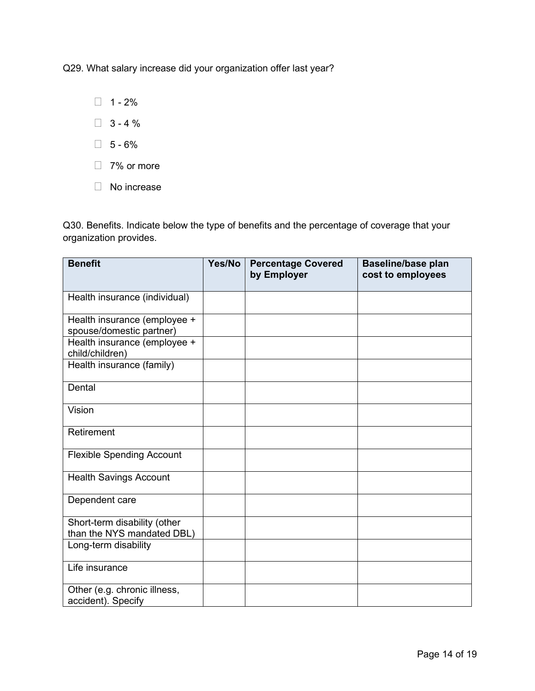Q29. What salary increase did your organization offer last year?

 $\Box$  1 - 2%

 $\Box$  3 - 4 %

 $\Box$  5 - 6%

- □ 7% or more
- □ No increase

Q30. Benefits. Indicate below the type of benefits and the percentage of coverage that your organization provides.

| <b>Benefit</b>                                             | Yes/No | <b>Percentage Covered</b><br>by Employer | <b>Baseline/base plan</b><br>cost to employees |
|------------------------------------------------------------|--------|------------------------------------------|------------------------------------------------|
|                                                            |        |                                          |                                                |
| Health insurance (individual)                              |        |                                          |                                                |
| Health insurance (employee +<br>spouse/domestic partner)   |        |                                          |                                                |
| Health insurance (employee +<br>child/children)            |        |                                          |                                                |
| Health insurance (family)                                  |        |                                          |                                                |
| Dental                                                     |        |                                          |                                                |
| Vision                                                     |        |                                          |                                                |
| Retirement                                                 |        |                                          |                                                |
| <b>Flexible Spending Account</b>                           |        |                                          |                                                |
| <b>Health Savings Account</b>                              |        |                                          |                                                |
| Dependent care                                             |        |                                          |                                                |
| Short-term disability (other<br>than the NYS mandated DBL) |        |                                          |                                                |
| Long-term disability                                       |        |                                          |                                                |
| Life insurance                                             |        |                                          |                                                |
| Other (e.g. chronic illness,<br>accident). Specify         |        |                                          |                                                |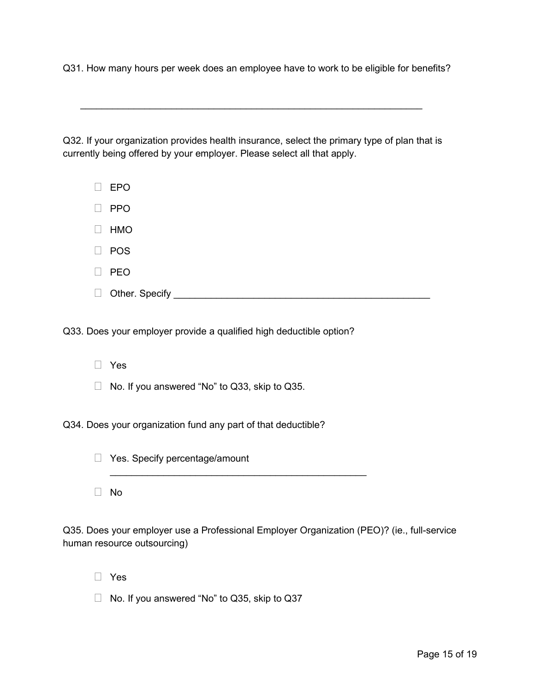Q31. How many hours per week does an employee have to work to be eligible for benefits?

Q32. If your organization provides health insurance, select the primary type of plan that is currently being offered by your employer. Please select all that apply.

 $\_$  , and the set of the set of the set of the set of the set of the set of the set of the set of the set of the set of the set of the set of the set of the set of the set of the set of the set of the set of the set of th

- EPO
- $\Box$  PPO
- $\Box$  HMO
- $\Box$  POS
- $\Box$  PEO
- Other. Specify \_\_\_\_\_\_\_\_\_\_\_\_\_\_\_\_\_\_\_\_\_\_\_\_\_\_\_\_\_\_\_\_\_\_\_\_\_\_\_\_\_\_\_\_\_\_\_\_

Q33. Does your employer provide a qualified high deductible option?

- Yes
- $\Box$  No. If you answered "No" to Q33, skip to Q35.

Q34. Does your organization fund any part of that deductible?

| Yes. Specify percentage/amount |  |  |  |  |
|--------------------------------|--|--|--|--|
|--------------------------------|--|--|--|--|

No

Q35. Does your employer use a Professional Employer Organization (PEO)? (ie., full-service human resource outsourcing)

 $\mathcal{L}_\text{max}$  and  $\mathcal{L}_\text{max}$  and  $\mathcal{L}_\text{max}$  and  $\mathcal{L}_\text{max}$  and  $\mathcal{L}_\text{max}$ 

- Yes
- No. If you answered "No" to Q35, skip to Q37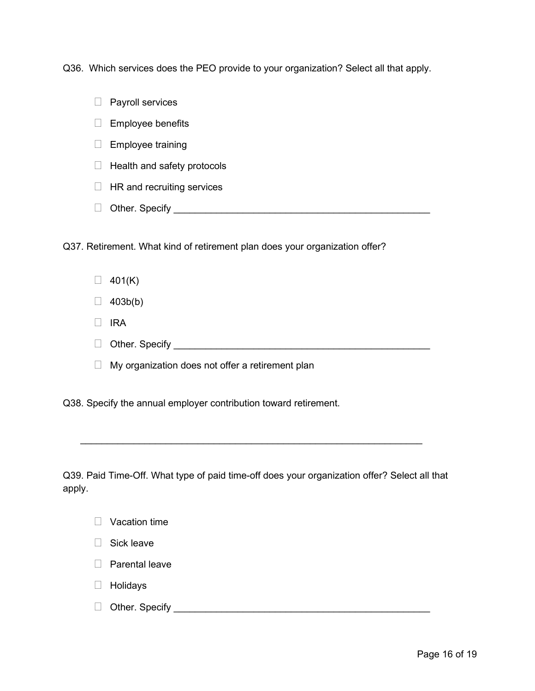Q36. Which services does the PEO provide to your organization? Select all that apply.

 $\Box$  Payroll services

 $\Box$  Employee benefits

- $\Box$  Employee training
- $\Box$  Health and safety protocols
- $\Box$  HR and recruiting services
- Other. Specify \_\_\_\_\_\_\_\_\_\_\_\_\_\_\_\_\_\_\_\_\_\_\_\_\_\_\_\_\_\_\_\_\_\_\_\_\_\_\_\_\_\_\_\_\_\_\_\_

Q37. Retirement. What kind of retirement plan does your organization offer?

- $\Box$  401(K)
- $\Box$  403b(b)
- $\Box$  IRA
- $\Box$  Other. Specify  $\Box$
- $\Box$  My organization does not offer a retirement plan

Q38. Specify the annual employer contribution toward retirement.

Q39. Paid Time-Off. What type of paid time-off does your organization offer? Select all that apply.

\_\_\_\_\_\_\_\_\_\_\_\_\_\_\_\_\_\_\_\_\_\_\_\_\_\_\_\_\_\_\_\_\_\_\_\_\_\_\_\_\_\_\_\_\_\_\_\_\_\_\_\_\_\_\_\_\_\_\_\_\_\_\_\_

- $\Box$  Vacation time
- Sick leave
- $\Box$  Parental leave
- □ Holidays
- Other. Specify \_\_\_\_\_\_\_\_\_\_\_\_\_\_\_\_\_\_\_\_\_\_\_\_\_\_\_\_\_\_\_\_\_\_\_\_\_\_\_\_\_\_\_\_\_\_\_\_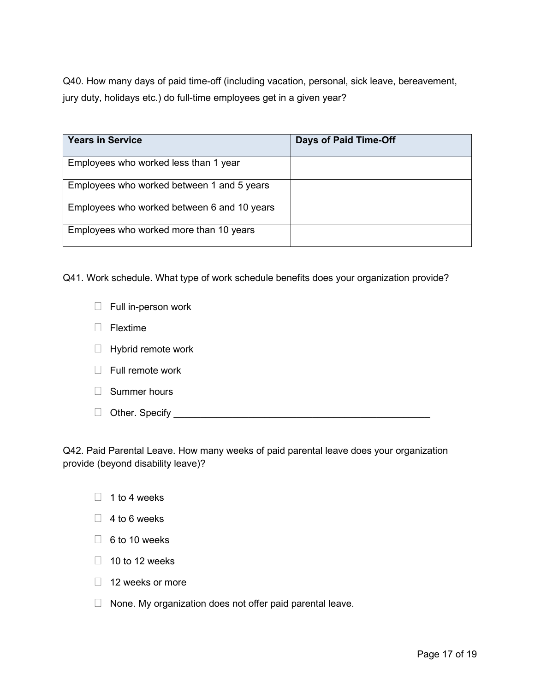Q40. How many days of paid time-off (including vacation, personal, sick leave, bereavement, jury duty, holidays etc.) do full-time employees get in a given year?

| <b>Years in Service</b>                     | <b>Days of Paid Time-Off</b> |
|---------------------------------------------|------------------------------|
| Employees who worked less than 1 year       |                              |
| Employees who worked between 1 and 5 years  |                              |
| Employees who worked between 6 and 10 years |                              |
| Employees who worked more than 10 years     |                              |

Q41. Work schedule. What type of work schedule benefits does your organization provide?

- $\Box$  Full in-person work
- $\Box$  Flextime
- $\Box$  Hybrid remote work
- $\Box$  Full remote work
- □ Summer hours
- Other. Specify \_\_\_\_\_\_\_\_\_\_\_\_\_\_\_\_\_\_\_\_\_\_\_\_\_\_\_\_\_\_\_\_\_\_\_\_\_\_\_\_\_\_\_\_\_\_\_\_

Q42. Paid Parental Leave. How many weeks of paid parental leave does your organization provide (beyond disability leave)?

- $\Box$  1 to 4 weeks
- $\Box$  4 to 6 weeks
- $\Box$  6 to 10 weeks
- $\Box$  10 to 12 weeks
- $\Box$  12 weeks or more
- $\Box$  None. My organization does not offer paid parental leave.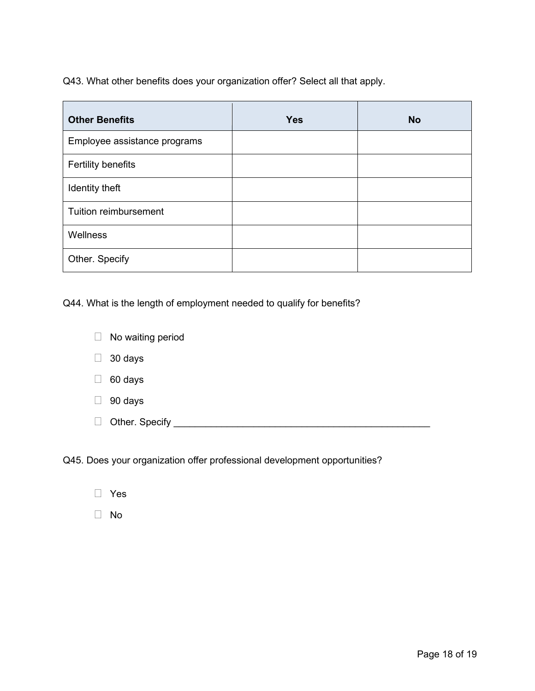Q43. What other benefits does your organization offer? Select all that apply.

| <b>Other Benefits</b>        | <b>Yes</b> | <b>No</b> |
|------------------------------|------------|-----------|
| Employee assistance programs |            |           |
| <b>Fertility benefits</b>    |            |           |
| Identity theft               |            |           |
| Tuition reimbursement        |            |           |
| Wellness                     |            |           |
| Other. Specify               |            |           |

Q44. What is the length of employment needed to qualify for benefits?

| $\Box$ | No waiting period |
|--------|-------------------|
| $\Box$ | 30 days           |
| $\Box$ | 60 days           |
| $\Box$ | 90 days           |
| $\Box$ | Other. Specify _  |
|        |                   |

Q45. Does your organization offer professional development opportunities?

No